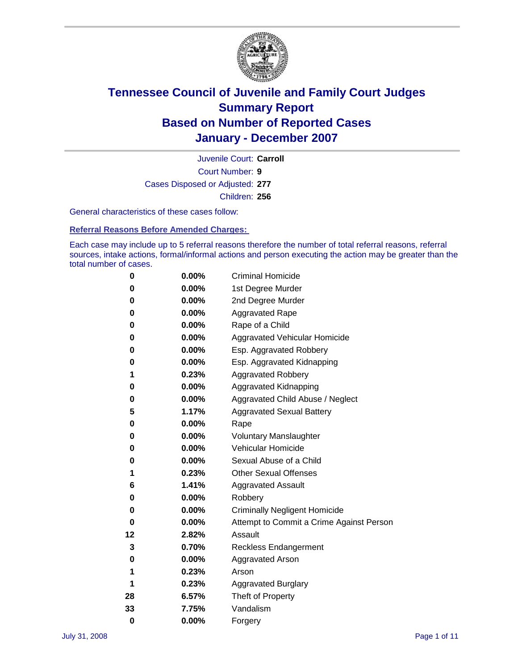

Court Number: **9** Juvenile Court: **Carroll** Cases Disposed or Adjusted: **277** Children: **256**

General characteristics of these cases follow:

**Referral Reasons Before Amended Charges:** 

Each case may include up to 5 referral reasons therefore the number of total referral reasons, referral sources, intake actions, formal/informal actions and person executing the action may be greater than the total number of cases.

| 0  | $0.00\%$ | <b>Criminal Homicide</b>                 |
|----|----------|------------------------------------------|
| 0  | 0.00%    | 1st Degree Murder                        |
| 0  | $0.00\%$ | 2nd Degree Murder                        |
| 0  | 0.00%    | <b>Aggravated Rape</b>                   |
| 0  | 0.00%    | Rape of a Child                          |
| 0  | $0.00\%$ | Aggravated Vehicular Homicide            |
| 0  | 0.00%    | Esp. Aggravated Robbery                  |
| 0  | $0.00\%$ | Esp. Aggravated Kidnapping               |
| 1  | 0.23%    | <b>Aggravated Robbery</b>                |
| 0  | 0.00%    | Aggravated Kidnapping                    |
| 0  | 0.00%    | Aggravated Child Abuse / Neglect         |
| 5  | 1.17%    | <b>Aggravated Sexual Battery</b>         |
| 0  | 0.00%    | Rape                                     |
| 0  | 0.00%    | <b>Voluntary Manslaughter</b>            |
| 0  | 0.00%    | Vehicular Homicide                       |
| 0  | $0.00\%$ | Sexual Abuse of a Child                  |
| 1  | 0.23%    | <b>Other Sexual Offenses</b>             |
| 6  | 1.41%    | <b>Aggravated Assault</b>                |
| 0  | 0.00%    | Robbery                                  |
| 0  | 0.00%    | <b>Criminally Negligent Homicide</b>     |
| 0  | 0.00%    | Attempt to Commit a Crime Against Person |
| 12 | 2.82%    | Assault                                  |
| 3  | 0.70%    | <b>Reckless Endangerment</b>             |
| 0  | 0.00%    | <b>Aggravated Arson</b>                  |
| 1  | 0.23%    | Arson                                    |
| 1  | 0.23%    | <b>Aggravated Burglary</b>               |
| 28 | 6.57%    | Theft of Property                        |
| 33 | 7.75%    | Vandalism                                |
| 0  | 0.00%    | Forgery                                  |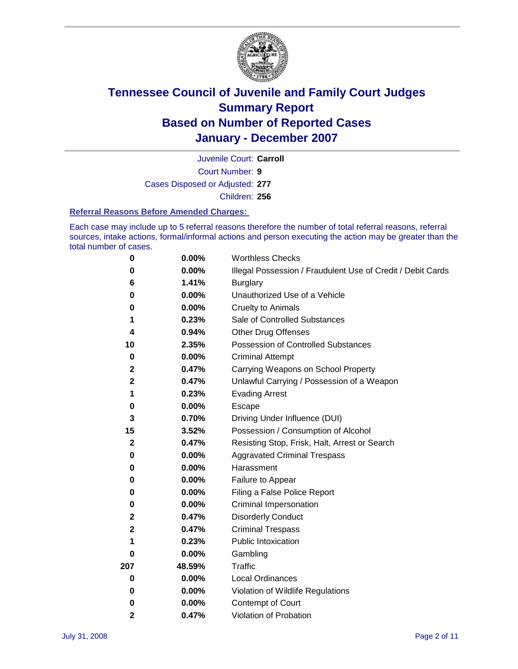

Court Number: **9** Juvenile Court: **Carroll** Cases Disposed or Adjusted: **277** Children: **256**

#### **Referral Reasons Before Amended Charges:**

Each case may include up to 5 referral reasons therefore the number of total referral reasons, referral sources, intake actions, formal/informal actions and person executing the action may be greater than the total number of cases.

| 0            | 0.00%    | <b>Worthless Checks</b>                                     |
|--------------|----------|-------------------------------------------------------------|
| 0            | 0.00%    | Illegal Possession / Fraudulent Use of Credit / Debit Cards |
| 6            | 1.41%    | <b>Burglary</b>                                             |
| 0            | $0.00\%$ | Unauthorized Use of a Vehicle                               |
| 0            | 0.00%    | <b>Cruelty to Animals</b>                                   |
| 1            | 0.23%    | Sale of Controlled Substances                               |
| 4            | 0.94%    | <b>Other Drug Offenses</b>                                  |
| 10           | 2.35%    | Possession of Controlled Substances                         |
| $\mathbf 0$  | 0.00%    | <b>Criminal Attempt</b>                                     |
| $\mathbf 2$  | 0.47%    | Carrying Weapons on School Property                         |
| $\mathbf 2$  | 0.47%    | Unlawful Carrying / Possession of a Weapon                  |
| 1            | 0.23%    | <b>Evading Arrest</b>                                       |
| 0            | 0.00%    | Escape                                                      |
| 3            | 0.70%    | Driving Under Influence (DUI)                               |
| 15           | 3.52%    | Possession / Consumption of Alcohol                         |
| $\mathbf{2}$ | 0.47%    | Resisting Stop, Frisk, Halt, Arrest or Search               |
| 0            | $0.00\%$ | <b>Aggravated Criminal Trespass</b>                         |
| 0            | 0.00%    | Harassment                                                  |
| 0            | $0.00\%$ | Failure to Appear                                           |
| 0            | 0.00%    | Filing a False Police Report                                |
| 0            | 0.00%    | Criminal Impersonation                                      |
| $\mathbf 2$  | 0.47%    | <b>Disorderly Conduct</b>                                   |
| $\mathbf 2$  | 0.47%    | <b>Criminal Trespass</b>                                    |
| 1            | 0.23%    | <b>Public Intoxication</b>                                  |
| 0            | 0.00%    | Gambling                                                    |
| 207          | 48.59%   | Traffic                                                     |
| 0            | $0.00\%$ | <b>Local Ordinances</b>                                     |
| 0            | $0.00\%$ | Violation of Wildlife Regulations                           |
| 0            | 0.00%    | Contempt of Court                                           |
| 2            | 0.47%    | Violation of Probation                                      |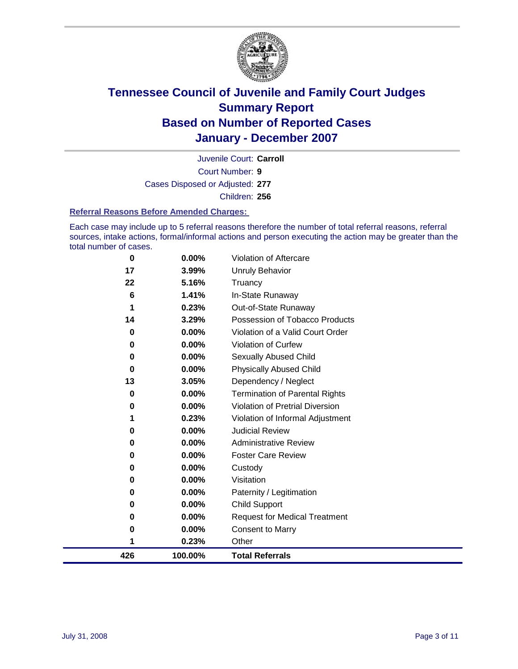

Court Number: **9** Juvenile Court: **Carroll** Cases Disposed or Adjusted: **277** Children: **256**

#### **Referral Reasons Before Amended Charges:**

Each case may include up to 5 referral reasons therefore the number of total referral reasons, referral sources, intake actions, formal/informal actions and person executing the action may be greater than the total number of cases.

| 0   | 0.00%    | Violation of Aftercare                 |
|-----|----------|----------------------------------------|
| 17  | 3.99%    | <b>Unruly Behavior</b>                 |
| 22  | 5.16%    | Truancy                                |
| 6   | 1.41%    | In-State Runaway                       |
|     | 0.23%    | Out-of-State Runaway                   |
| 14  | 3.29%    | Possession of Tobacco Products         |
| 0   | $0.00\%$ | Violation of a Valid Court Order       |
| 0   | 0.00%    | Violation of Curfew                    |
| 0   | $0.00\%$ | Sexually Abused Child                  |
| 0   | $0.00\%$ | <b>Physically Abused Child</b>         |
| 13  | 3.05%    | Dependency / Neglect                   |
| 0   | $0.00\%$ | <b>Termination of Parental Rights</b>  |
| 0   | $0.00\%$ | <b>Violation of Pretrial Diversion</b> |
| 1   | 0.23%    | Violation of Informal Adjustment       |
| 0   | 0.00%    | <b>Judicial Review</b>                 |
| 0   | 0.00%    | <b>Administrative Review</b>           |
| 0   | 0.00%    | <b>Foster Care Review</b>              |
| 0   | 0.00%    | Custody                                |
| 0   | 0.00%    | Visitation                             |
| 0   | 0.00%    | Paternity / Legitimation               |
| 0   | 0.00%    | <b>Child Support</b>                   |
| 0   | 0.00%    | <b>Request for Medical Treatment</b>   |
| 0   | 0.00%    | <b>Consent to Marry</b>                |
| 1   | 0.23%    | Other                                  |
| 426 | 100.00%  | <b>Total Referrals</b>                 |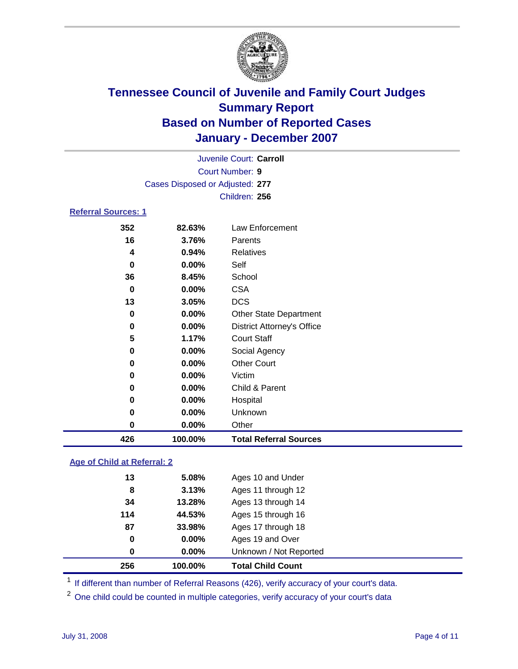

| Juvenile Court: Carroll         |
|---------------------------------|
| Court Number: 9                 |
| Cases Disposed or Adjusted: 277 |
| Children: 256                   |
|                                 |

### **Referral Sources: 1**

| 426 | 100.00%  | <b>Total Referral Sources</b>     |
|-----|----------|-----------------------------------|
| 0   | 0.00%    | Other                             |
| 0   | 0.00%    | Unknown                           |
| 0   | 0.00%    | Hospital                          |
| 0   | 0.00%    | Child & Parent                    |
| 0   | 0.00%    | Victim                            |
| 0   | 0.00%    | <b>Other Court</b>                |
| 0   | 0.00%    | Social Agency                     |
| 5   | 1.17%    | <b>Court Staff</b>                |
| 0   | $0.00\%$ | <b>District Attorney's Office</b> |
| 0   | 0.00%    | <b>Other State Department</b>     |
| 13  | 3.05%    | <b>DCS</b>                        |
| 0   | 0.00%    | <b>CSA</b>                        |
| 36  | 8.45%    | School                            |
| 0   | 0.00%    | Self                              |
| 4   | 0.94%    | <b>Relatives</b>                  |
| 16  | 3.76%    | Parents                           |
| 352 | 82.63%   | Law Enforcement                   |

### **Age of Child at Referral: 2**

| 256 | 100.00%  | <b>Total Child Count</b> |
|-----|----------|--------------------------|
| 0   | $0.00\%$ | Unknown / Not Reported   |
| 0   | 0.00%    | Ages 19 and Over         |
| 87  | 33.98%   | Ages 17 through 18       |
| 114 | 44.53%   | Ages 15 through 16       |
| 34  | 13.28%   | Ages 13 through 14       |
| 8   | 3.13%    | Ages 11 through 12       |
| 13  | 5.08%    | Ages 10 and Under        |
|     |          |                          |

<sup>1</sup> If different than number of Referral Reasons (426), verify accuracy of your court's data.

One child could be counted in multiple categories, verify accuracy of your court's data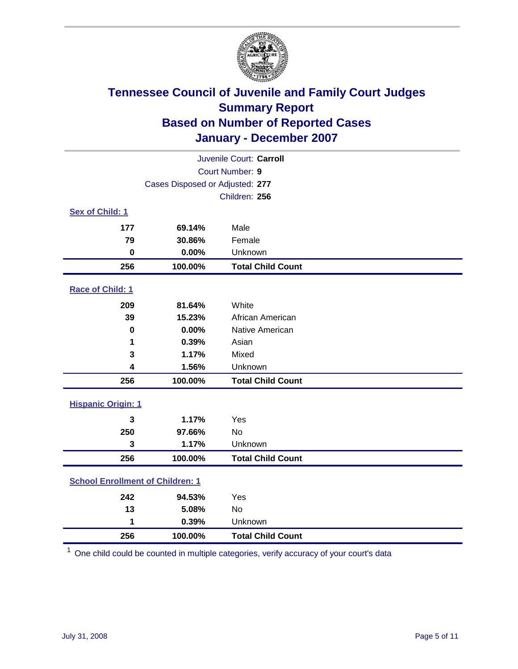

|                                         |         | Juvenile Court: Carroll  |  |  |
|-----------------------------------------|---------|--------------------------|--|--|
| Court Number: 9                         |         |                          |  |  |
| Cases Disposed or Adjusted: 277         |         |                          |  |  |
|                                         |         | Children: 256            |  |  |
| Sex of Child: 1                         |         |                          |  |  |
| 177                                     | 69.14%  | Male                     |  |  |
| 79                                      | 30.86%  | Female                   |  |  |
| $\bf{0}$                                | 0.00%   | Unknown                  |  |  |
| 256                                     | 100.00% | <b>Total Child Count</b> |  |  |
| Race of Child: 1                        |         |                          |  |  |
| 209                                     | 81.64%  | White                    |  |  |
| 39                                      | 15.23%  | African American         |  |  |
| $\bf{0}$                                | 0.00%   | Native American          |  |  |
| 1                                       | 0.39%   | Asian                    |  |  |
| 3                                       | 1.17%   | Mixed                    |  |  |
| 4                                       | 1.56%   | Unknown                  |  |  |
| 256                                     | 100.00% | <b>Total Child Count</b> |  |  |
| <b>Hispanic Origin: 1</b>               |         |                          |  |  |
| 3                                       | 1.17%   | Yes                      |  |  |
| 250                                     | 97.66%  | No                       |  |  |
| 3                                       | 1.17%   | Unknown                  |  |  |
| 256                                     | 100.00% | <b>Total Child Count</b> |  |  |
| <b>School Enrollment of Children: 1</b> |         |                          |  |  |
| 242                                     | 94.53%  | Yes                      |  |  |
| 13                                      | 5.08%   | <b>No</b>                |  |  |
| 1                                       | 0.39%   | Unknown                  |  |  |
| 256                                     | 100.00% | <b>Total Child Count</b> |  |  |

One child could be counted in multiple categories, verify accuracy of your court's data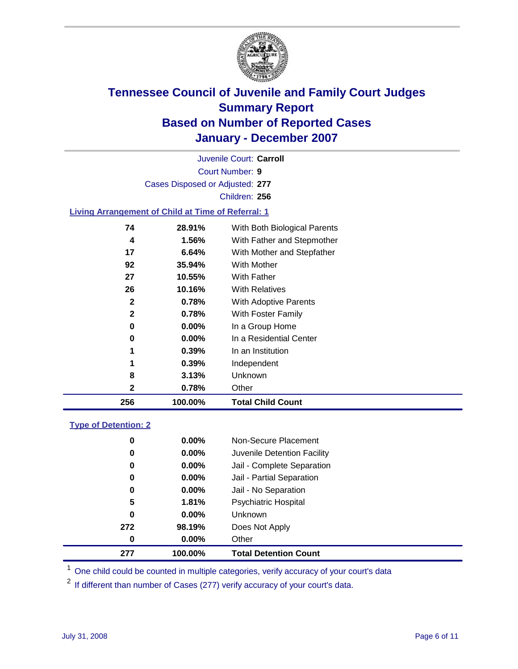

Court Number: **9** Juvenile Court: **Carroll** Cases Disposed or Adjusted: **277** Children: **256**

#### **Living Arrangement of Child at Time of Referral: 1**

| 256          | 100.00%  | <b>Total Child Count</b>     |
|--------------|----------|------------------------------|
| 2            | 0.78%    | Other                        |
| 8            | 3.13%    | Unknown                      |
| 1            | 0.39%    | Independent                  |
| 1            | 0.39%    | In an Institution            |
| 0            | $0.00\%$ | In a Residential Center      |
| 0            | $0.00\%$ | In a Group Home              |
| $\mathbf{2}$ | 0.78%    | With Foster Family           |
| $\mathbf{2}$ | 0.78%    | With Adoptive Parents        |
| 26           | 10.16%   | <b>With Relatives</b>        |
| 27           | 10.55%   | With Father                  |
| 92           | 35.94%   | <b>With Mother</b>           |
| 17           | 6.64%    | With Mother and Stepfather   |
| 4            | 1.56%    | With Father and Stepmother   |
| 74           | 28.91%   | With Both Biological Parents |
|              |          |                              |

#### **Type of Detention: 2**

| 277 | 100.00%  | <b>Total Detention Count</b> |  |
|-----|----------|------------------------------|--|
| 0   | 0.00%    | Other                        |  |
| 272 | 98.19%   | Does Not Apply               |  |
| 0   | 0.00%    | <b>Unknown</b>               |  |
| 5   | 1.81%    | <b>Psychiatric Hospital</b>  |  |
| 0   | 0.00%    | Jail - No Separation         |  |
| 0   | $0.00\%$ | Jail - Partial Separation    |  |
| 0   | 0.00%    | Jail - Complete Separation   |  |
| 0   | 0.00%    | Juvenile Detention Facility  |  |
| 0   | 0.00%    | Non-Secure Placement         |  |
|     |          |                              |  |

<sup>1</sup> One child could be counted in multiple categories, verify accuracy of your court's data

<sup>2</sup> If different than number of Cases (277) verify accuracy of your court's data.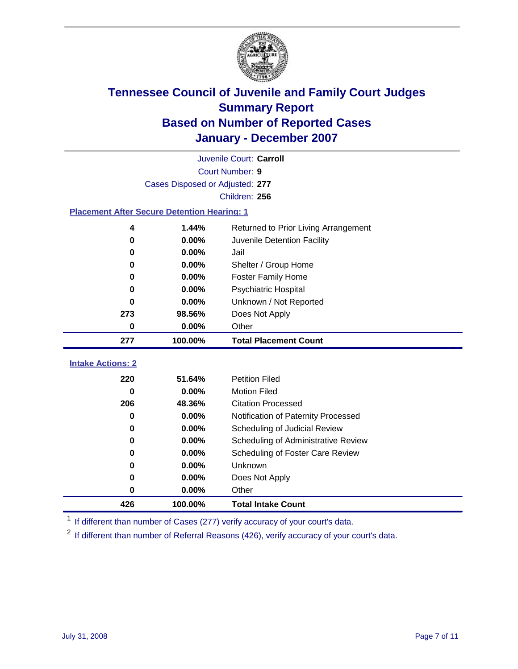

|                                                    |                                 | Juvenile Court: Carroll              |
|----------------------------------------------------|---------------------------------|--------------------------------------|
|                                                    |                                 | Court Number: 9                      |
|                                                    | Cases Disposed or Adjusted: 277 |                                      |
|                                                    |                                 | Children: 256                        |
| <b>Placement After Secure Detention Hearing: 1</b> |                                 |                                      |
| 4                                                  | 1.44%                           | Returned to Prior Living Arrangement |
| 0                                                  | 0.00%                           | Juvenile Detention Facility          |
| 0                                                  | 0.00%                           | Jail                                 |
| 0                                                  | 0.00%                           | Shelter / Group Home                 |
| 0                                                  | $0.00\%$                        | <b>Foster Family Home</b>            |
| 0                                                  | 0.00%                           | Psychiatric Hospital                 |
| 0                                                  | 0.00%                           | Unknown / Not Reported               |
| 273                                                | 98.56%                          | Does Not Apply                       |
| 0                                                  | 0.00%                           | Other                                |
| 277                                                | 100.00%                         | <b>Total Placement Count</b>         |
|                                                    |                                 |                                      |
| <b>Intake Actions: 2</b>                           |                                 |                                      |
| 220                                                | 51.64%                          | <b>Petition Filed</b>                |
| 0                                                  | 0.00%                           | <b>Motion Filed</b>                  |
| 206                                                | 48.36%                          | <b>Citation Processed</b>            |
| 0                                                  | 0.00%                           | Notification of Paternity Processed  |
| 0                                                  | 0.00%                           | Scheduling of Judicial Review        |
| 0                                                  | 0.00%                           | Scheduling of Administrative Review  |
| 0                                                  | 0.00%                           | Scheduling of Foster Care Review     |
| 0                                                  | 0.00%                           | Unknown                              |
| 0                                                  | 0.00%                           | Does Not Apply                       |
| 0                                                  | 0.00%                           | Other                                |
| 426                                                | 100.00%                         | <b>Total Intake Count</b>            |

<sup>1</sup> If different than number of Cases (277) verify accuracy of your court's data.

<sup>2</sup> If different than number of Referral Reasons (426), verify accuracy of your court's data.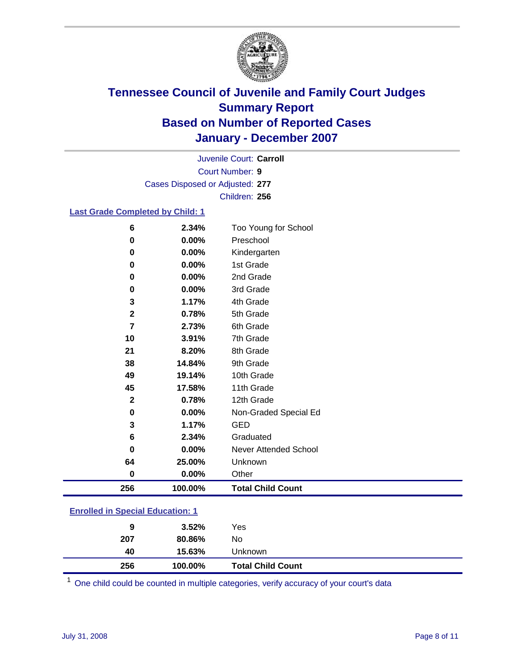

Court Number: **9** Juvenile Court: **Carroll** Cases Disposed or Adjusted: **277** Children: **256**

### **Last Grade Completed by Child: 1**

| 6              | 2.34%   | Too Young for School     |
|----------------|---------|--------------------------|
| 0              | 0.00%   | Preschool                |
| 0              | 0.00%   | Kindergarten             |
| 0              | 0.00%   | 1st Grade                |
| 0              | 0.00%   | 2nd Grade                |
| 0              | 0.00%   | 3rd Grade                |
| 3              | 1.17%   | 4th Grade                |
| $\mathbf 2$    | 0.78%   | 5th Grade                |
| $\overline{7}$ | 2.73%   | 6th Grade                |
| 10             | 3.91%   | 7th Grade                |
| 21             | 8.20%   | 8th Grade                |
| 38             | 14.84%  | 9th Grade                |
| 49             | 19.14%  | 10th Grade               |
| 45             | 17.58%  | 11th Grade               |
| $\mathbf 2$    | 0.78%   | 12th Grade               |
| $\mathbf 0$    | 0.00%   | Non-Graded Special Ed    |
| 3              | 1.17%   | <b>GED</b>               |
| 6              | 2.34%   | Graduated                |
| 0              | 0.00%   | Never Attended School    |
| 64             | 25.00%  | Unknown                  |
| $\bf{0}$       | 0.00%   | Other                    |
| 256            | 100.00% | <b>Total Child Count</b> |

### **Enrolled in Special Education: 1**

| 256 | 100.00% | <b>Total Child Count</b> |  |
|-----|---------|--------------------------|--|
| 40  | 15.63%  | Unknown                  |  |
| 207 | 80.86%  | No                       |  |
| 9   | 3.52%   | Yes                      |  |

<sup>1</sup> One child could be counted in multiple categories, verify accuracy of your court's data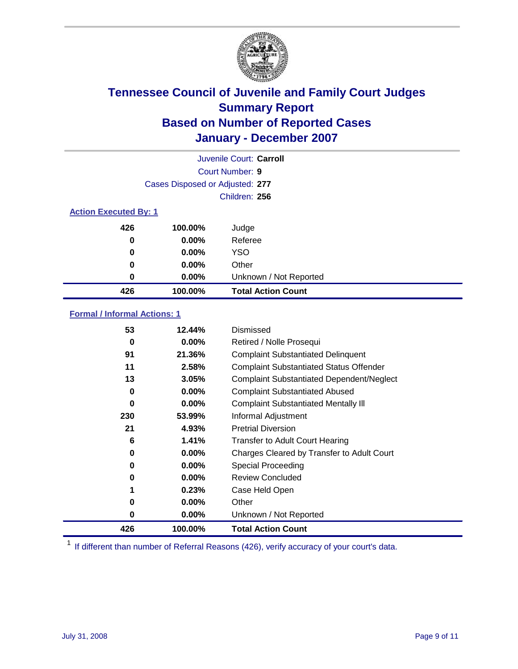

|                              |                                 | Juvenile Court: Carroll   |
|------------------------------|---------------------------------|---------------------------|
|                              |                                 | Court Number: 9           |
|                              | Cases Disposed or Adjusted: 277 |                           |
|                              |                                 | Children: 256             |
| <b>Action Executed By: 1</b> |                                 |                           |
| 426                          | 100.00%                         | Judge                     |
| 0                            | $0.00\%$                        | Referee                   |
| 0                            | $0.00\%$                        | <b>YSO</b>                |
| 0                            | $0.00\%$                        | Other                     |
| 0                            | $0.00\%$                        | Unknown / Not Reported    |
| 426                          | 100.00%                         | <b>Total Action Count</b> |

### **Formal / Informal Actions: 1**

| 53  | 12.44%   | Dismissed                                        |
|-----|----------|--------------------------------------------------|
| 0   | $0.00\%$ | Retired / Nolle Prosequi                         |
| 91  | 21.36%   | <b>Complaint Substantiated Delinquent</b>        |
| 11  | 2.58%    | <b>Complaint Substantiated Status Offender</b>   |
| 13  | 3.05%    | <b>Complaint Substantiated Dependent/Neglect</b> |
| 0   | $0.00\%$ | <b>Complaint Substantiated Abused</b>            |
| 0   | $0.00\%$ | <b>Complaint Substantiated Mentally III</b>      |
| 230 | 53.99%   | Informal Adjustment                              |
| 21  | 4.93%    | <b>Pretrial Diversion</b>                        |
| 6   | 1.41%    | <b>Transfer to Adult Court Hearing</b>           |
| 0   | $0.00\%$ | Charges Cleared by Transfer to Adult Court       |
| 0   | $0.00\%$ | Special Proceeding                               |
| 0   | $0.00\%$ | <b>Review Concluded</b>                          |
| 1   | 0.23%    | Case Held Open                                   |
| 0   | $0.00\%$ | Other                                            |
| 0   | $0.00\%$ | Unknown / Not Reported                           |
| 426 | 100.00%  | <b>Total Action Count</b>                        |

<sup>1</sup> If different than number of Referral Reasons (426), verify accuracy of your court's data.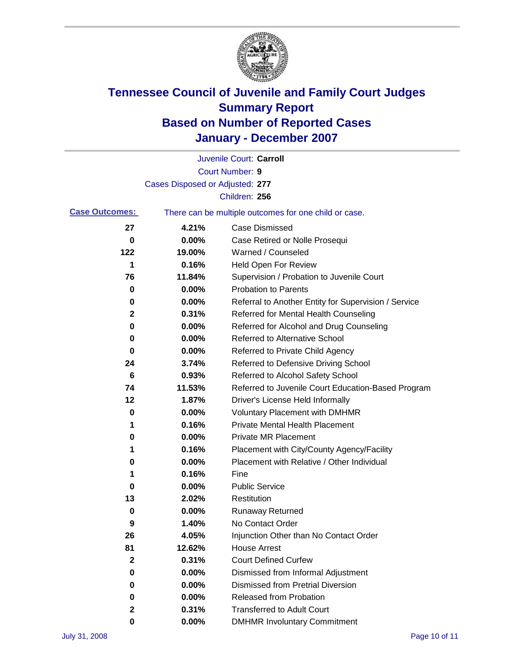

|                       |                                 | Juvenile Court: Carroll                               |
|-----------------------|---------------------------------|-------------------------------------------------------|
|                       |                                 | Court Number: 9                                       |
|                       | Cases Disposed or Adjusted: 277 |                                                       |
|                       |                                 | Children: 256                                         |
| <b>Case Outcomes:</b> |                                 | There can be multiple outcomes for one child or case. |
| 27                    | 4.21%                           | <b>Case Dismissed</b>                                 |
| 0                     | 0.00%                           | Case Retired or Nolle Prosequi                        |
| 122                   | 19.00%                          | Warned / Counseled                                    |
| 1                     | 0.16%                           | Held Open For Review                                  |
| 76                    | 11.84%                          | Supervision / Probation to Juvenile Court             |
| 0                     | 0.00%                           | <b>Probation to Parents</b>                           |
| 0                     | 0.00%                           | Referral to Another Entity for Supervision / Service  |
| 2                     | 0.31%                           | Referred for Mental Health Counseling                 |
| 0                     | 0.00%                           | Referred for Alcohol and Drug Counseling              |
| 0                     | 0.00%                           | Referred to Alternative School                        |
| 0                     | 0.00%                           | Referred to Private Child Agency                      |
| 24                    | 3.74%                           | Referred to Defensive Driving School                  |
| 6                     | 0.93%                           | Referred to Alcohol Safety School                     |
| 74                    | 11.53%                          | Referred to Juvenile Court Education-Based Program    |
| 12                    | 1.87%                           | Driver's License Held Informally                      |
| 0                     | 0.00%                           | <b>Voluntary Placement with DMHMR</b>                 |
| 1                     | 0.16%                           | <b>Private Mental Health Placement</b>                |
| 0                     | 0.00%                           | <b>Private MR Placement</b>                           |
| 1                     | 0.16%                           | Placement with City/County Agency/Facility            |
| 0                     | 0.00%                           | Placement with Relative / Other Individual            |
| 1                     | 0.16%                           | Fine                                                  |
| 0                     | 0.00%                           | <b>Public Service</b>                                 |
| 13                    | 2.02%                           | Restitution                                           |
| 0                     | 0.00%                           | <b>Runaway Returned</b>                               |
| 9                     | 1.40%                           | No Contact Order                                      |
| 26                    | 4.05%                           | Injunction Other than No Contact Order                |
| 81                    | 12.62%                          | <b>House Arrest</b>                                   |
| 2                     | 0.31%                           | <b>Court Defined Curfew</b>                           |
| 0                     | 0.00%                           | Dismissed from Informal Adjustment                    |
| 0                     | 0.00%                           | <b>Dismissed from Pretrial Diversion</b>              |
| 0                     | 0.00%                           | Released from Probation                               |
| 2                     | 0.31%                           | <b>Transferred to Adult Court</b>                     |
| 0                     | 0.00%                           | <b>DMHMR Involuntary Commitment</b>                   |